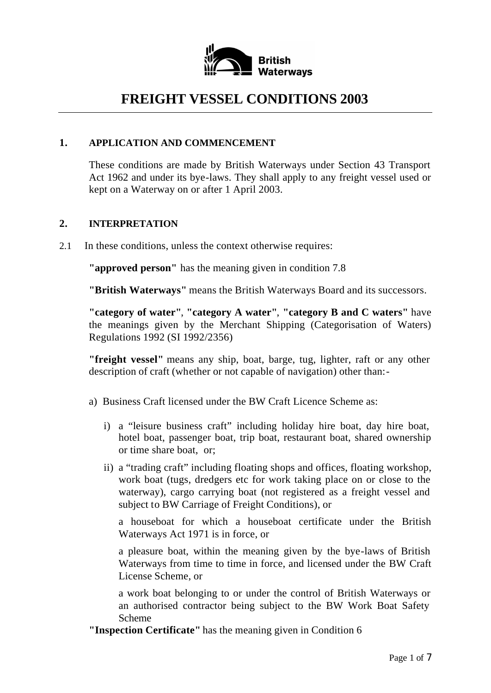

# **FREIGHT VESSEL CONDITIONS 2003**

# **1. APPLICATION AND COMMENCEMENT**

These conditions are made by British Waterways under Section 43 Transport Act 1962 and under its bye-laws. They shall apply to any freight vessel used or kept on a Waterway on or after 1 April 2003.

# **2. INTERPRETATION**

2.1 In these conditions, unless the context otherwise requires:

**"approved person"** has the meaning given in condition 7.8

**"British Waterways"** means the British Waterways Board and its successors.

**"category of water"**, **"category A water"**, **"category B and C waters"** have the meanings given by the Merchant Shipping (Categorisation of Waters) Regulations 1992 (SI 1992/2356)

**"freight vessel"** means any ship, boat, barge, tug, lighter, raft or any other description of craft (whether or not capable of navigation) other than:-

- a) Business Craft licensed under the BW Craft Licence Scheme as:
	- i) a "leisure business craft" including holiday hire boat, day hire boat, hotel boat, passenger boat, trip boat, restaurant boat, shared ownership or time share boat, or;
	- ii) a "trading craft" including floating shops and offices, floating workshop, work boat (tugs, dredgers etc for work taking place on or close to the waterway), cargo carrying boat (not registered as a freight vessel and subject to BW Carriage of Freight Conditions), or

a houseboat for which a houseboat certificate under the British Waterways Act 1971 is in force, or

a pleasure boat, within the meaning given by the bye-laws of British Waterways from time to time in force, and licensed under the BW Craft License Scheme, or

a work boat belonging to or under the control of British Waterways or an authorised contractor being subject to the BW Work Boat Safety Scheme

**"Inspection Certificate"** has the meaning given in Condition 6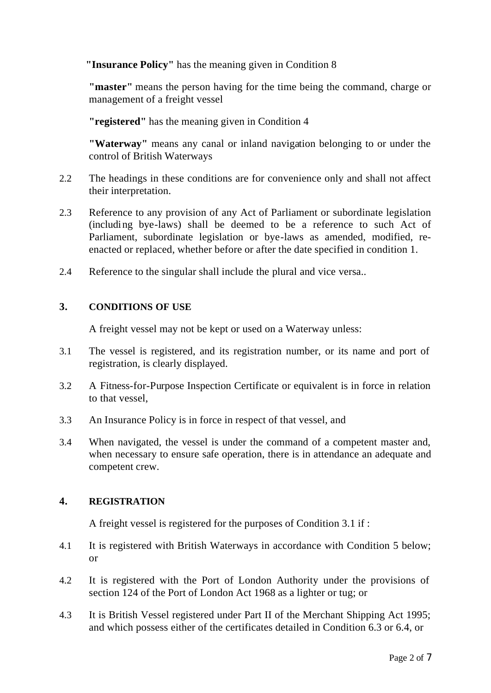**"Insurance Policy"** has the meaning given in Condition 8

**"master"** means the person having for the time being the command, charge or management of a freight vessel

**"registered"** has the meaning given in Condition 4

**"Waterway"** means any canal or inland navigation belonging to or under the control of British Waterways

- 2.2 The headings in these conditions are for convenience only and shall not affect their interpretation.
- 2.3 Reference to any provision of any Act of Parliament or subordinate legislation (including bye-laws) shall be deemed to be a reference to such Act of Parliament, subordinate legislation or bye-laws as amended, modified, reenacted or replaced, whether before or after the date specified in condition 1.
- 2.4 Reference to the singular shall include the plural and vice versa..

### **3. CONDITIONS OF USE**

A freight vessel may not be kept or used on a Waterway unless:

- 3.1 The vessel is registered, and its registration number, or its name and port of registration, is clearly displayed.
- 3.2 A Fitness-for-Purpose Inspection Certificate or equivalent is in force in relation to that vessel,
- 3.3 An Insurance Policy is in force in respect of that vessel, and
- 3.4 When navigated, the vessel is under the command of a competent master and, when necessary to ensure safe operation, there is in attendance an adequate and competent crew.

# **4. REGISTRATION**

A freight vessel is registered for the purposes of Condition 3.1 if :

- 4.1 It is registered with British Waterways in accordance with Condition 5 below; or
- 4.2 It is registered with the Port of London Authority under the provisions of section 124 of the Port of London Act 1968 as a lighter or tug; or
- 4.3 It is British Vessel registered under Part II of the Merchant Shipping Act 1995; and which possess either of the certificates detailed in Condition 6.3 or 6.4, or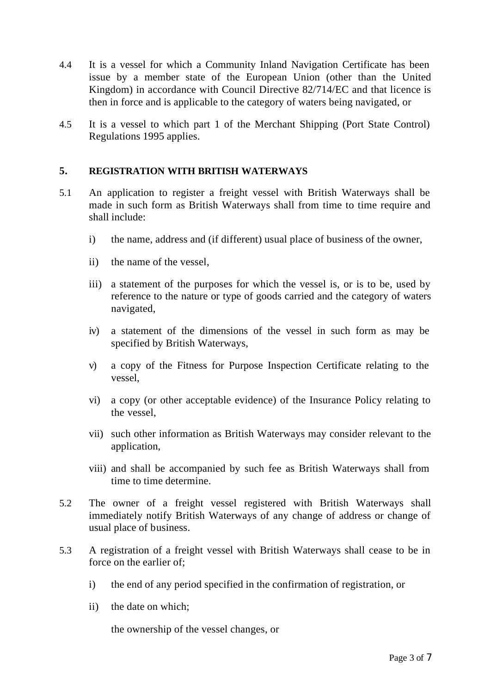- 4.4 It is a vessel for which a Community Inland Navigation Certificate has been issue by a member state of the European Union (other than the United Kingdom) in accordance with Council Directive 82/714/EC and that licence is then in force and is applicable to the category of waters being navigated, or
- 4.5 It is a vessel to which part 1 of the Merchant Shipping (Port State Control) Regulations 1995 applies.

# **5. REGISTRATION WITH BRITISH WATERWAYS**

- 5.1 An application to register a freight vessel with British Waterways shall be made in such form as British Waterways shall from time to time require and shall include:
	- i) the name, address and (if different) usual place of business of the owner,
	- ii) the name of the vessel,
	- iii) a statement of the purposes for which the vessel is, or is to be, used by reference to the nature or type of goods carried and the category of waters navigated,
	- iv) a statement of the dimensions of the vessel in such form as may be specified by British Waterways,
	- v) a copy of the Fitness for Purpose Inspection Certificate relating to the vessel,
	- vi) a copy (or other acceptable evidence) of the Insurance Policy relating to the vessel,
	- vii) such other information as British Waterways may consider relevant to the application,
	- viii) and shall be accompanied by such fee as British Waterways shall from time to time determine.
- 5.2 The owner of a freight vessel registered with British Waterways shall immediately notify British Waterways of any change of address or change of usual place of business.
- 5.3 A registration of a freight vessel with British Waterways shall cease to be in force on the earlier of;
	- i) the end of any period specified in the confirmation of registration, or
	- ii) the date on which;

the ownership of the vessel changes, or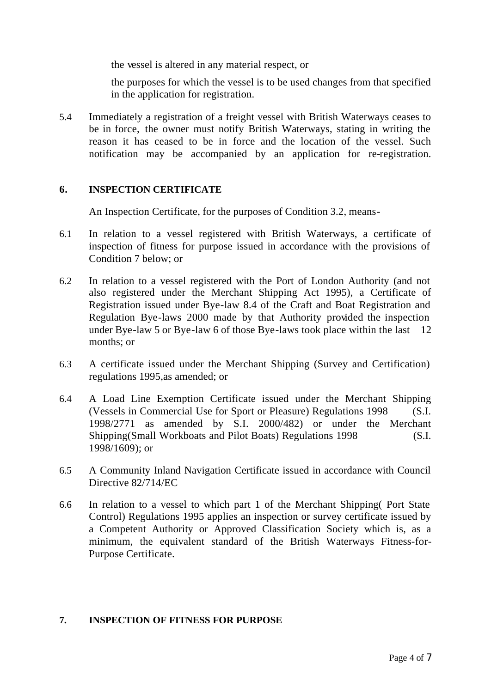the vessel is altered in any material respect, or

the purposes for which the vessel is to be used changes from that specified in the application for registration.

5.4 Immediately a registration of a freight vessel with British Waterways ceases to be in force, the owner must notify British Waterways, stating in writing the reason it has ceased to be in force and the location of the vessel. Such notification may be accompanied by an application for re-registration.

### **6. INSPECTION CERTIFICATE**

An Inspection Certificate, for the purposes of Condition 3.2, means-

- 6.1 In relation to a vessel registered with British Waterways, a certificate of inspection of fitness for purpose issued in accordance with the provisions of Condition 7 below; or
- 6.2 In relation to a vessel registered with the Port of London Authority (and not also registered under the Merchant Shipping Act 1995), a Certificate of Registration issued under Bye-law 8.4 of the Craft and Boat Registration and Regulation Bye-laws 2000 made by that Authority provided the inspection under Bye-law 5 or Bye-law 6 of those Bye-laws took place within the last 12 months; or
- 6.3 A certificate issued under the Merchant Shipping (Survey and Certification) regulations 1995,as amended; or
- 6.4 A Load Line Exemption Certificate issued under the Merchant Shipping (Vessels in Commercial Use for Sport or Pleasure) Regulations 1998 (S.I. 1998/2771 as amended by S.I. 2000/482) or under the Merchant Shipping(Small Workboats and Pilot Boats) Regulations 1998 (S.I. 1998/1609); or
- 6.5 A Community Inland Navigation Certificate issued in accordance with Council Directive 82/714/EC
- 6.6 In relation to a vessel to which part 1 of the Merchant Shipping( Port State Control) Regulations 1995 applies an inspection or survey certificate issued by a Competent Authority or Approved Classification Society which is, as a minimum, the equivalent standard of the British Waterways Fitness-for-Purpose Certificate.

### **7. INSPECTION OF FITNESS FOR PURPOSE**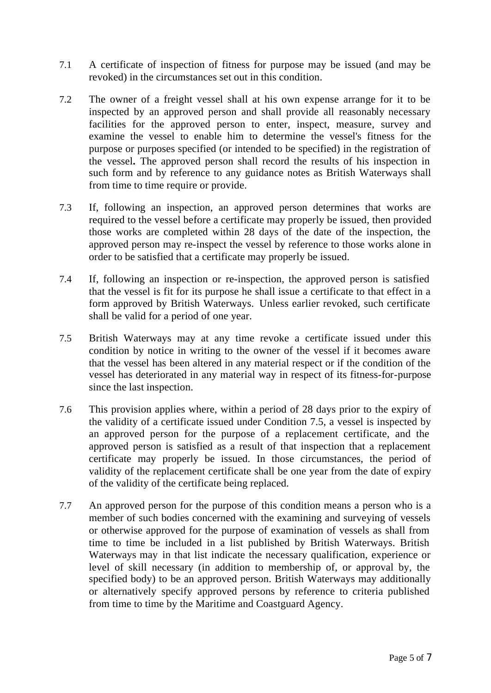- 7.1 A certificate of inspection of fitness for purpose may be issued (and may be revoked) in the circumstances set out in this condition.
- 7.2 The owner of a freight vessel shall at his own expense arrange for it to be inspected by an approved person and shall provide all reasonably necessary facilities for the approved person to enter, inspect, measure, survey and examine the vessel to enable him to determine the vessel's fitness for the purpose or purposes specified (or intended to be specified) in the registration of the vessel**.** The approved person shall record the results of his inspection in such form and by reference to any guidance notes as British Waterways shall from time to time require or provide.
- 7.3 If, following an inspection, an approved person determines that works are required to the vessel before a certificate may properly be issued, then provided those works are completed within 28 days of the date of the inspection, the approved person may re-inspect the vessel by reference to those works alone in order to be satisfied that a certificate may properly be issued.
- 7.4 If, following an inspection or re-inspection, the approved person is satisfied that the vessel is fit for its purpose he shall issue a certificate to that effect in a form approved by British Waterways. Unless earlier revoked, such certificate shall be valid for a period of one year.
- 7.5 British Waterways may at any time revoke a certificate issued under this condition by notice in writing to the owner of the vessel if it becomes aware that the vessel has been altered in any material respect or if the condition of the vessel has deteriorated in any material way in respect of its fitness-for-purpose since the last inspection.
- 7.6 This provision applies where, within a period of 28 days prior to the expiry of the validity of a certificate issued under Condition 7.5, a vessel is inspected by an approved person for the purpose of a replacement certificate, and the approved person is satisfied as a result of that inspection that a replacement certificate may properly be issued. In those circumstances, the period of validity of the replacement certificate shall be one year from the date of expiry of the validity of the certificate being replaced.
- 7.7 An approved person for the purpose of this condition means a person who is a member of such bodies concerned with the examining and surveying of vessels or otherwise approved for the purpose of examination of vessels as shall from time to time be included in a list published by British Waterways. British Waterways may in that list indicate the necessary qualification, experience or level of skill necessary (in addition to membership of, or approval by, the specified body) to be an approved person. British Waterways may additionally or alternatively specify approved persons by reference to criteria published from time to time by the Maritime and Coastguard Agency.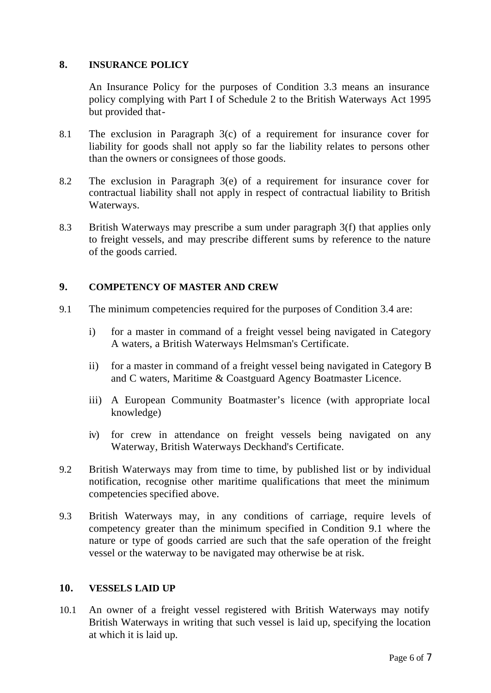### **8. INSURANCE POLICY**

An Insurance Policy for the purposes of Condition 3.3 means an insurance policy complying with Part I of Schedule 2 to the British Waterways Act 1995 but provided that-

- 8.1 The exclusion in Paragraph 3(c) of a requirement for insurance cover for liability for goods shall not apply so far the liability relates to persons other than the owners or consignees of those goods.
- 8.2 The exclusion in Paragraph 3(e) of a requirement for insurance cover for contractual liability shall not apply in respect of contractual liability to British Waterways.
- 8.3 British Waterways may prescribe a sum under paragraph 3(f) that applies only to freight vessels, and may prescribe different sums by reference to the nature of the goods carried.

### **9. COMPETENCY OF MASTER AND CREW**

- 9.1 The minimum competencies required for the purposes of Condition 3.4 are:
	- i) for a master in command of a freight vessel being navigated in Category A waters, a British Waterways Helmsman's Certificate.
	- ii) for a master in command of a freight vessel being navigated in Category B and C waters, Maritime & Coastguard Agency Boatmaster Licence.
	- iii) A European Community Boatmaster's licence (with appropriate local knowledge)
	- iv) for crew in attendance on freight vessels being navigated on any Waterway, British Waterways Deckhand's Certificate.
- 9.2 British Waterways may from time to time, by published list or by individual notification, recognise other maritime qualifications that meet the minimum competencies specified above.
- 9.3 British Waterways may, in any conditions of carriage, require levels of competency greater than the minimum specified in Condition 9.1 where the nature or type of goods carried are such that the safe operation of the freight vessel or the waterway to be navigated may otherwise be at risk.

### **10. VESSELS LAID UP**

10.1 An owner of a freight vessel registered with British Waterways may notify British Waterways in writing that such vessel is laid up, specifying the location at which it is laid up.